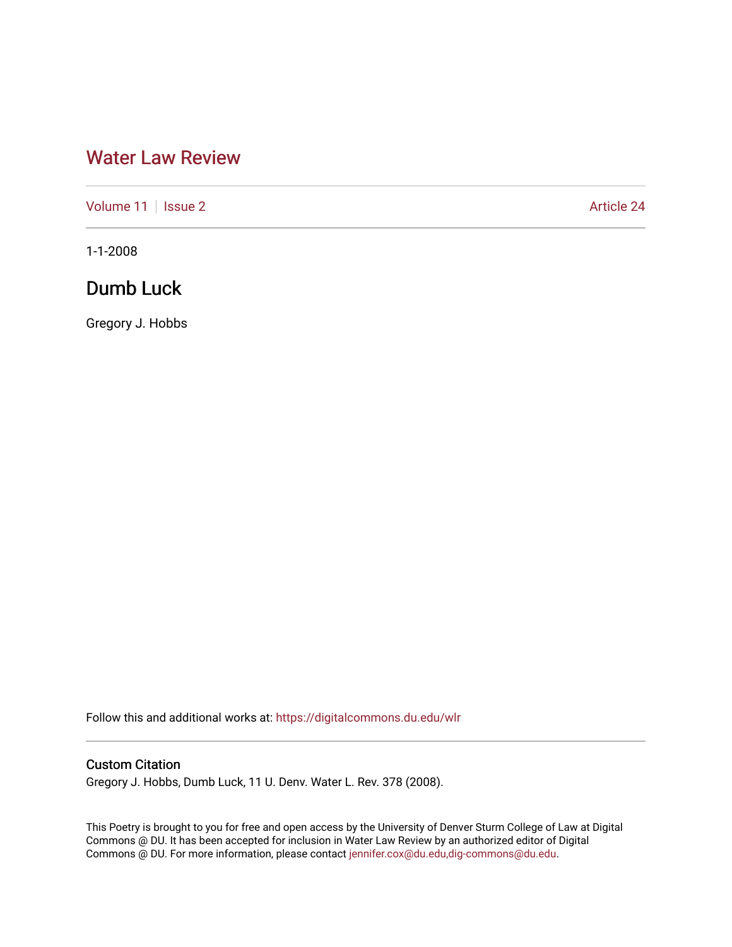# [Water Law Review](https://digitalcommons.du.edu/wlr)

[Volume 11](https://digitalcommons.du.edu/wlr/vol11) | [Issue 2](https://digitalcommons.du.edu/wlr/vol11/iss2) Article 24

1-1-2008

## Dumb Luck

Gregory J. Hobbs

Follow this and additional works at: [https://digitalcommons.du.edu/wlr](https://digitalcommons.du.edu/wlr?utm_source=digitalcommons.du.edu%2Fwlr%2Fvol11%2Fiss2%2F24&utm_medium=PDF&utm_campaign=PDFCoverPages) 

### Custom Citation

Gregory J. Hobbs, Dumb Luck, 11 U. Denv. Water L. Rev. 378 (2008).

This Poetry is brought to you for free and open access by the University of Denver Sturm College of Law at Digital Commons @ DU. It has been accepted for inclusion in Water Law Review by an authorized editor of Digital Commons @ DU. For more information, please contact [jennifer.cox@du.edu,dig-commons@du.edu.](mailto:jennifer.cox@du.edu,dig-commons@du.edu)